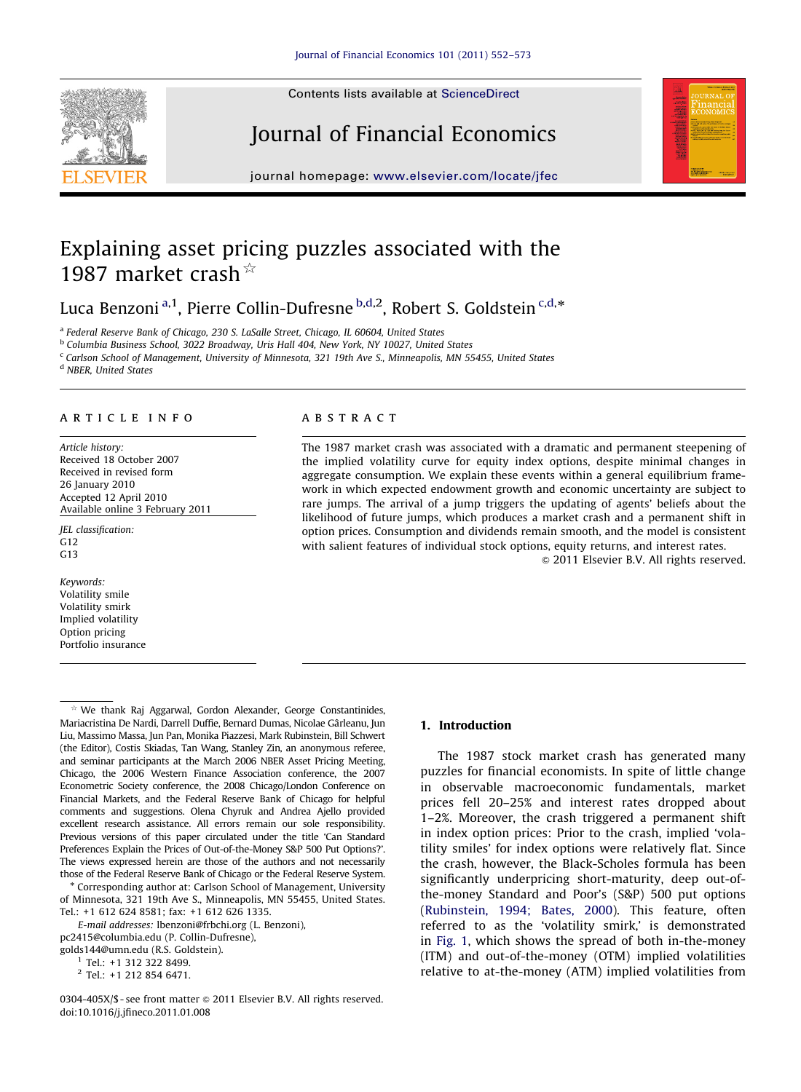Contents lists available at ScienceDirect







journal homepage: <www.elsevier.com/locate/jfec>

# Explaining asset pricing puzzles associated with the 1987 market crash $\frac{1}{x}$

Luca Benzoni<sup>a,1</sup>, Pierre Collin-Dufresne <sup>b,d,2</sup>, Robert S. Goldstein <sup>c,d,\*</sup>

<sup>a</sup> Federal Reserve Bank of Chicago, 230 S. LaSalle Street, Chicago, IL 60604, United States

<sup>b</sup> Columbia Business School, 3022 Broadway, Uris Hall 404, New York, NY 10027, United States

<sup>c</sup> Carlson School of Management, University of Minnesota, 321 19th Ave S., Minneapolis, MN 55455, United States

<sup>d</sup> NBER, United States

#### article info

Article history: Received 18 October 2007 Received in revised form 26 January 2010 Accepted 12 April 2010 Available online 3 February 2011

JEL classification: G12 G13

Keywords: Volatility smile Volatility smirk Implied volatility Option pricing Portfolio insurance

## ABSTRACT

The 1987 market crash was associated with a dramatic and permanent steepening of the implied volatility curve for equity index options, despite minimal changes in aggregate consumption. We explain these events within a general equilibrium framework in which expected endowment growth and economic uncertainty are subject to rare jumps. The arrival of a jump triggers the updating of agents' beliefs about the likelihood of future jumps, which produces a market crash and a permanent shift in option prices. Consumption and dividends remain smooth, and the model is consistent with salient features of individual stock options, equity returns, and interest rates.

 $\odot$  2011 Elsevier B.V. All rights reserved.

 Corresponding author at: Carlson School of Management, University of Minnesota, 321 19th Ave S., Minneapolis, MN 55455, United States. Tel.: +1 612 624 8581; fax: +1 612 626 1335.

E-mail addresses: [lbenzoni@frbchi.org \(L. Benzoni\)](mailto:lbenzoni@frbchi.org), [pc2415@columbia.edu \(P. Collin-Dufresne\),](mailto:pc2415@columbia.edu) [golds144@umn.edu \(R.S. Goldstein\)](mailto:golds144@umn.edu).

0304-405X/\$ - see front matter  $\odot$  2011 Elsevier B.V. All rights reserved. doi:[10.1016/j.jfineco.2011.01.008](dx.doi.org/10.1016/j.jfineco.2011.01.008)

### 1. Introduction

The 1987 stock market crash has generated many puzzles for financial economists. In spite of little change in observable macroeconomic fundamentals, market prices fell 20–25% and interest rates dropped about 1–2%. Moreover, the crash triggered a permanent shift in index option prices: Prior to the crash, implied 'volatility smiles' for index options were relatively flat. Since the crash, however, the Black-Scholes formula has been significantly underpricing short-maturity, deep out-ofthe-money Standard and Poor's (S&P) 500 put options [\(Rubinstein, 1994; Bates, 2000](#page--1-0)). This feature, often referred to as the 'volatility smirk,' is demonstrated in [Fig. 1](#page-1-0), which shows the spread of both in-the-money (ITM) and out-of-the-money (OTM) implied volatilities relative to at-the-money (ATM) implied volatilities from

We thank Raj Aggarwal, Gordon Alexander, George Constantinides, Mariacristina De Nardi, Darrell Duffie, Bernard Dumas, Nicolae Garleanu, Jun ˆ Liu, Massimo Massa, Jun Pan, Monika Piazzesi, Mark Rubinstein, Bill Schwert (the Editor), Costis Skiadas, Tan Wang, Stanley Zin, an anonymous referee, and seminar participants at the March 2006 NBER Asset Pricing Meeting, Chicago, the 2006 Western Finance Association conference, the 2007 Econometric Society conference, the 2008 Chicago/London Conference on Financial Markets, and the Federal Reserve Bank of Chicago for helpful comments and suggestions. Olena Chyruk and Andrea Ajello provided excellent research assistance. All errors remain our sole responsibility. Previous versions of this paper circulated under the title 'Can Standard Preferences Explain the Prices of Out-of-the-Money S&P 500 Put Options?'. The views expressed herein are those of the authors and not necessarily those of the Federal Reserve Bank of Chicago or the Federal Reserve System.

 $1$  Tel.: +1 312 322 8499.

<sup>2</sup> Tel.: +1 212 854 6471.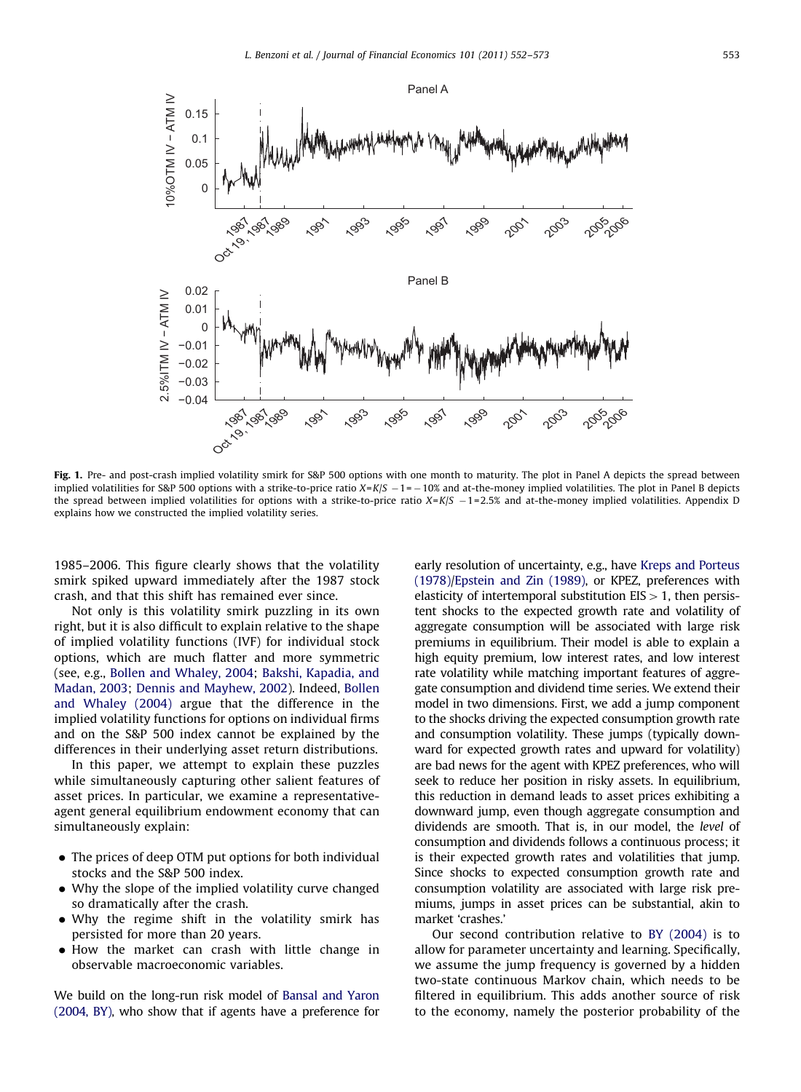<span id="page-1-0"></span>

Fig. 1. Pre- and post-crash implied volatility smirk for S&P 500 options with one month to maturity. The plot in Panel A depicts the spread between implied volatilities for S&P 500 options with a strike-to-price ratio  $X=K/S - 1 = -10\%$  and at-the-money implied volatilities. The plot in Panel B depicts the spread between implied volatilities for options with a strike-to-price ratio  $X = K/S - 1 = 2.5%$  and at-the-money implied volatilities. Appendix D explains how we constructed the implied volatility series.

1985–2006. This figure clearly shows that the volatility smirk spiked upward immediately after the 1987 stock crash, and that this shift has remained ever since.

Not only is this volatility smirk puzzling in its own right, but it is also difficult to explain relative to the shape of implied volatility functions (IVF) for individual stock options, which are much flatter and more symmetric (see, e.g., [Bollen and Whaley, 2004](#page--1-0); [Bakshi, Kapadia, and](#page--1-0) [Madan, 2003;](#page--1-0) [Dennis and Mayhew, 2002\)](#page--1-0). Indeed, [Bollen](#page--1-0) [and Whaley \(2004\)](#page--1-0) argue that the difference in the implied volatility functions for options on individual firms and on the S&P 500 index cannot be explained by the differences in their underlying asset return distributions.

In this paper, we attempt to explain these puzzles while simultaneously capturing other salient features of asset prices. In particular, we examine a representativeagent general equilibrium endowment economy that can simultaneously explain:

- The prices of deep OTM put options for both individual stocks and the S&P 500 index.
- $\bullet$  Why the slope of the implied volatility curve changed so dramatically after the crash.
- . Why the regime shift in the volatility smirk has persisted for more than 20 years.
- $\bullet$  How the market can crash with little change in observable macroeconomic variables.

We build on the long-run risk model of [Bansal and Yaron](#page--1-0) [\(2004, BY\),](#page--1-0) who show that if agents have a preference for early resolution of uncertainty, e.g., have [Kreps and Porteus](#page--1-0) [\(1978\)/Epstein and Zin \(1989\),](#page--1-0) or KPEZ, preferences with elasticity of intertemporal substitution  $EIS > 1$ , then persistent shocks to the expected growth rate and volatility of aggregate consumption will be associated with large risk premiums in equilibrium. Their model is able to explain a high equity premium, low interest rates, and low interest rate volatility while matching important features of aggregate consumption and dividend time series. We extend their model in two dimensions. First, we add a jump component to the shocks driving the expected consumption growth rate and consumption volatility. These jumps (typically downward for expected growth rates and upward for volatility) are bad news for the agent with KPEZ preferences, who will seek to reduce her position in risky assets. In equilibrium, this reduction in demand leads to asset prices exhibiting a downward jump, even though aggregate consumption and dividends are smooth. That is, in our model, the level of consumption and dividends follows a continuous process; it is their expected growth rates and volatilities that jump. Since shocks to expected consumption growth rate and consumption volatility are associated with large risk premiums, jumps in asset prices can be substantial, akin to market 'crashes.'

Our second contribution relative to [BY \(2004\)](#page--1-0) is to allow for parameter uncertainty and learning. Specifically, we assume the jump frequency is governed by a hidden two-state continuous Markov chain, which needs to be filtered in equilibrium. This adds another source of risk to the economy, namely the posterior probability of the